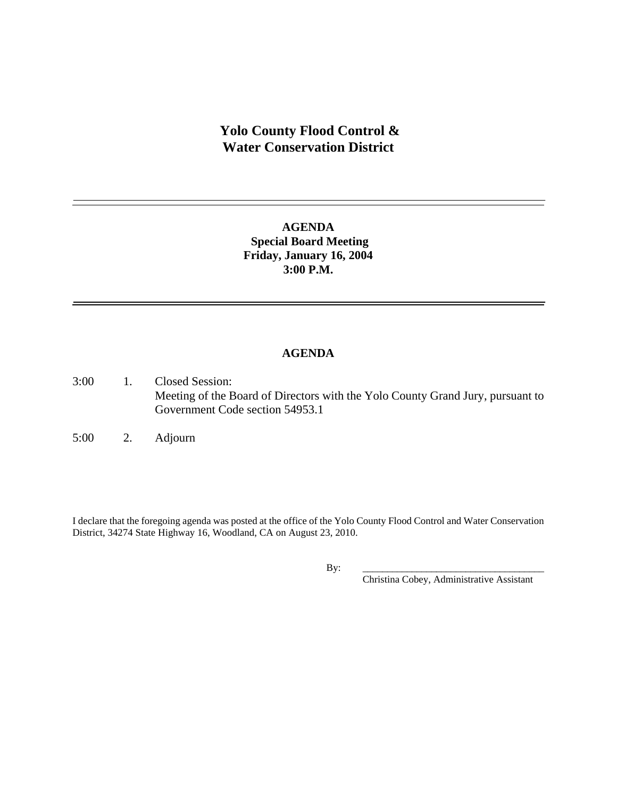# **Yolo County Flood Control & Water Conservation District**

## **AGENDA Special Board Meeting Friday, January 16, 2004 3:00 P.M.**

#### **AGENDA**

- 3:00 1. Closed Session: Meeting of the Board of Directors with the Yolo County Grand Jury, pursuant to Government Code section 54953.1
- 5:00 2. Adjourn

I declare that the foregoing agenda was posted at the office of the Yolo County Flood Control and Water Conservation District, 34274 State Highway 16, Woodland, CA on August 23, 2010.

By: \_\_\_\_\_\_\_\_\_\_\_\_\_\_\_\_\_\_\_\_\_\_\_\_\_\_\_\_\_\_\_\_\_\_\_\_\_

Christina Cobey, Administrative Assistant